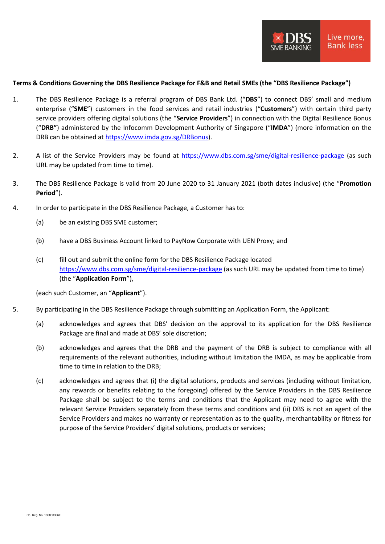## **Terms & Conditions Governing the DBS Resilience Package for F&B and Retail SMEs (the "DBS Resilience Package")**

- 1. The DBS Resilience Package is a referral program of DBS Bank Ltd. ("**DBS**") to connect DBS' small and medium enterprise ("**SME**") customers in the food services and retail industries ("**Customers**") with certain third party service providers offering digital solutions (the "**Service Providers**") in connection with the Digital Resilience Bonus ("**DRB"**) administered by the Infocomm Development Authority of Singapore ("**IMDA**") (more information on the DRB can be obtained at [https://www.imda.gov.sg/DRBonus\)](https://www.imda.gov.sg/DRBonus).
- 2. A list of the Service Providers may be found at <https://www.dbs.com.sg/sme/digital-resilience-package> (as such URL may be updated from time to time).
- 3. The DBS Resilience Package is valid from 20 June 2020 to 31 January 2021 (both dates inclusive) (the "**Promotion Period**").
- 4. In order to participate in the DBS Resilience Package, a Customer has to:
	- (a) be an existing DBS SME customer;
	- (b) have a DBS Business Account linked to PayNow Corporate with UEN Proxy; and
	- (c) fill out and submit the online form for the DBS Resilience Package located <https://www.dbs.com.sg/sme/digital-resilience-package> (as such URL may be updated from time to time) (the "**Application Form**"),

(each such Customer, an "**Applicant**").

- 5. By participating in the DBS Resilience Package through submitting an Application Form, the Applicant:
	- (a) acknowledges and agrees that DBS' decision on the approval to its application for the DBS Resilience Package are final and made at DBS' sole discretion;
	- (b) acknowledges and agrees that the DRB and the payment of the DRB is subject to compliance with all requirements of the relevant authorities, including without limitation the IMDA, as may be applicable from time to time in relation to the DRB;
	- (c) acknowledges and agrees that (i) the digital solutions, products and services (including without limitation, any rewards or benefits relating to the foregoing) offered by the Service Providers in the DBS Resilience Package shall be subject to the terms and conditions that the Applicant may need to agree with the relevant Service Providers separately from these terms and conditions and (ii) DBS is not an agent of the Service Providers and makes no warranty or representation as to the quality, merchantability or fitness for purpose of the Service Providers' digital solutions, products or services;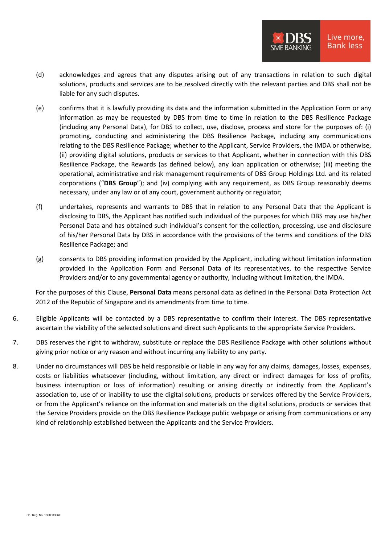- (d) acknowledges and agrees that any disputes arising out of any transactions in relation to such digital solutions, products and services are to be resolved directly with the relevant parties and DBS shall not be liable for any such disputes.
- (e) confirms that it is lawfully providing its data and the information submitted in the Application Form or any information as may be requested by DBS from time to time in relation to the DBS Resilience Package (including any Personal Data), for DBS to collect, use, disclose, process and store for the purposes of: (i) promoting, conducting and administering the DBS Resilience Package, including any communications relating to the DBS Resilience Package; whether to the Applicant, Service Providers, the IMDA or otherwise, (ii) providing digital solutions, products or services to that Applicant, whether in connection with this DBS Resilience Package, the Rewards (as defined below), any loan application or otherwise; (iii) meeting the operational, administrative and risk management requirements of DBS Group Holdings Ltd. and its related corporations ("**DBS Group**"); and (iv) complying with any requirement, as DBS Group reasonably deems necessary, under any law or of any court, government authority or regulator;
- (f) undertakes, represents and warrants to DBS that in relation to any Personal Data that the Applicant is disclosing to DBS, the Applicant has notified such individual of the purposes for which DBS may use his/her Personal Data and has obtained such individual's consent for the collection, processing, use and disclosure of his/her Personal Data by DBS in accordance with the provisions of the terms and conditions of the DBS Resilience Package; and
- (g) consents to DBS providing information provided by the Applicant, including without limitation information provided in the Application Form and Personal Data of its representatives, to the respective Service Providers and/or to any governmental agency or authority, including without limitation, the IMDA.

For the purposes of this Clause, **Personal Data** means personal data as defined in the Personal Data Protection Act 2012 of the Republic of Singapore and its amendments from time to time.

- 6. Eligible Applicants will be contacted by a DBS representative to confirm their interest. The DBS representative ascertain the viability of the selected solutions and direct such Applicants to the appropriate Service Providers.
- 7. DBS reserves the right to withdraw, substitute or replace the DBS Resilience Package with other solutions without giving prior notice or any reason and without incurring any liability to any party.
- 8. Under no circumstances will DBS be held responsible or liable in any way for any claims, damages, losses, expenses, costs or liabilities whatsoever (including, without limitation, any direct or indirect damages for loss of profits, business interruption or loss of information) resulting or arising directly or indirectly from the Applicant's association to, use of or inability to use the digital solutions, products or services offered by the Service Providers, or from the Applicant's reliance on the information and materials on the digital solutions, products or services that the Service Providers provide on the DBS Resilience Package public webpage or arising from communications or any kind of relationship established between the Applicants and the Service Providers.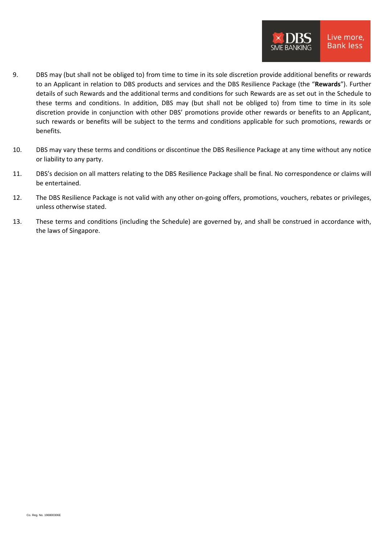- 9. DBS may (but shall not be obliged to) from time to time in its sole discretion provide additional benefits or rewards to an Applicant in relation to DBS products and services and the DBS Resilience Package (the "**Rewards**"). Further details of such Rewards and the additional terms and conditions for such Rewards are as set out in the Schedule to these terms and conditions. In addition, DBS may (but shall not be obliged to) from time to time in its sole discretion provide in conjunction with other DBS' promotions provide other rewards or benefits to an Applicant, such rewards or benefits will be subject to the terms and conditions applicable for such promotions, rewards or benefits.
- 10. DBS may vary these terms and conditions or discontinue the DBS Resilience Package at any time without any notice or liability to any party.
- 11. DBS's decision on all matters relating to the DBS Resilience Package shall be final. No correspondence or claims will be entertained.
- 12. The DBS Resilience Package is not valid with any other on-going offers, promotions, vouchers, rebates or privileges, unless otherwise stated.
- 13. These terms and conditions (including the Schedule) are governed by, and shall be construed in accordance with, the laws of Singapore.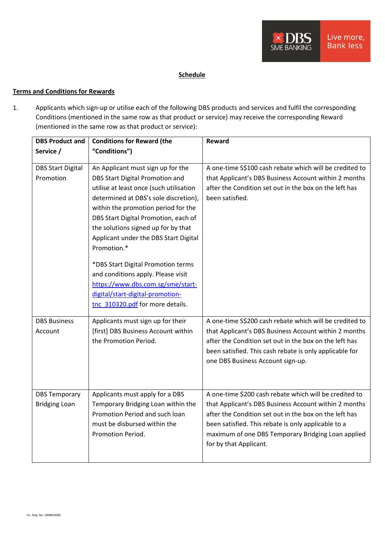## **Schedule**

## **Terms and Conditions for Rewards**

1. Applicants which sign-up or utilise each of the following DBS products and services and fulfil the corresponding Conditions (mentioned in the same row as that product or service) may receive the corresponding Reward (mentioned in the same row as that product or service):

| <b>DBS Product and</b>                       | <b>Conditions for Reward (the</b>                                                                                                                                                                                                                                                                                                                                                                                                                                                                                               | <b>Reward</b>                                                                                                                                                                                                                                                                                                    |
|----------------------------------------------|---------------------------------------------------------------------------------------------------------------------------------------------------------------------------------------------------------------------------------------------------------------------------------------------------------------------------------------------------------------------------------------------------------------------------------------------------------------------------------------------------------------------------------|------------------------------------------------------------------------------------------------------------------------------------------------------------------------------------------------------------------------------------------------------------------------------------------------------------------|
| Service /                                    | "Conditions")                                                                                                                                                                                                                                                                                                                                                                                                                                                                                                                   |                                                                                                                                                                                                                                                                                                                  |
| <b>DBS Start Digital</b><br>Promotion        | An Applicant must sign up for the<br>DBS Start Digital Promotion and<br>utilise at least once (such utilisation<br>determined at DBS's sole discretion),<br>within the promotion period for the<br>DBS Start Digital Promotion, each of<br>the solutions signed up for by that<br>Applicant under the DBS Start Digital<br>Promotion.*<br>*DBS Start Digital Promotion terms<br>and conditions apply. Please visit<br>https://www.dbs.com.sg/sme/start-<br>digital/start-digital-promotion-<br>tnc 310320.pdf for more details. | A one-time S\$100 cash rebate which will be credited to<br>that Applicant's DBS Business Account within 2 months<br>after the Condition set out in the box on the left has<br>been satisfied.                                                                                                                    |
| <b>DBS Business</b><br>Account               | Applicants must sign up for their<br>[first] DBS Business Account within<br>the Promotion Period.                                                                                                                                                                                                                                                                                                                                                                                                                               | A one-time S\$200 cash rebate which will be credited to<br>that Applicant's DBS Business Account within 2 months<br>after the Condition set out in the box on the left has<br>been satisfied. This cash rebate is only applicable for<br>one DBS Business Account sign-up.                                       |
| <b>DBS Temporary</b><br><b>Bridging Loan</b> | Applicants must apply for a DBS<br>Temporary Bridging Loan within the<br>Promotion Period and such loan<br>must be disbursed within the<br>Promotion Period.                                                                                                                                                                                                                                                                                                                                                                    | A one-time \$200 cash rebate which will be credited to<br>that Applicant's DBS Business Account within 2 months<br>after the Condition set out in the box on the left has<br>been satisfied. This rebate is only applicable to a<br>maximum of one DBS Temporary Bridging Loan applied<br>for by that Applicant. |